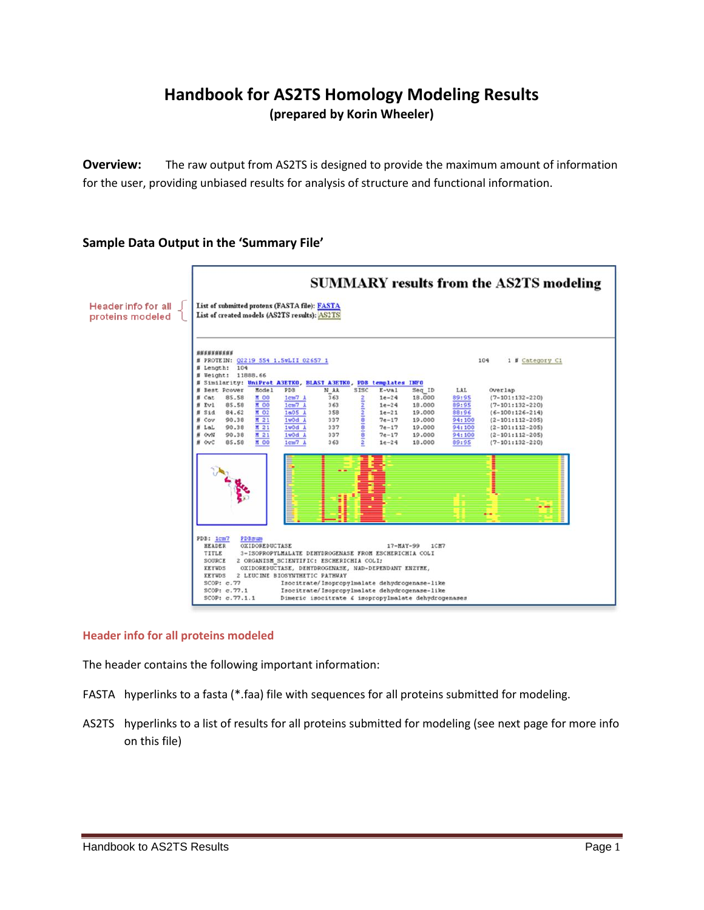# **Handbook for AS2TS Homology Modeling Results (prepared by Korin Wheeler)**

**Overview:** The raw output from AS2TS is designed to provide the maximum amount of information for the user, providing unbiased results for analysis of structure and functional information.

## **Sample Data Output in the 'Summary File'**



## **Header info for all proteins modeled**

The header contains the following important information:

- FASTA hyperlinks to a fasta (\*.faa) file with sequences for all proteins submitted for modeling.
- AS2TS hyperlinks to a list of results for all proteins submitted for modeling (see next page for more info on this file)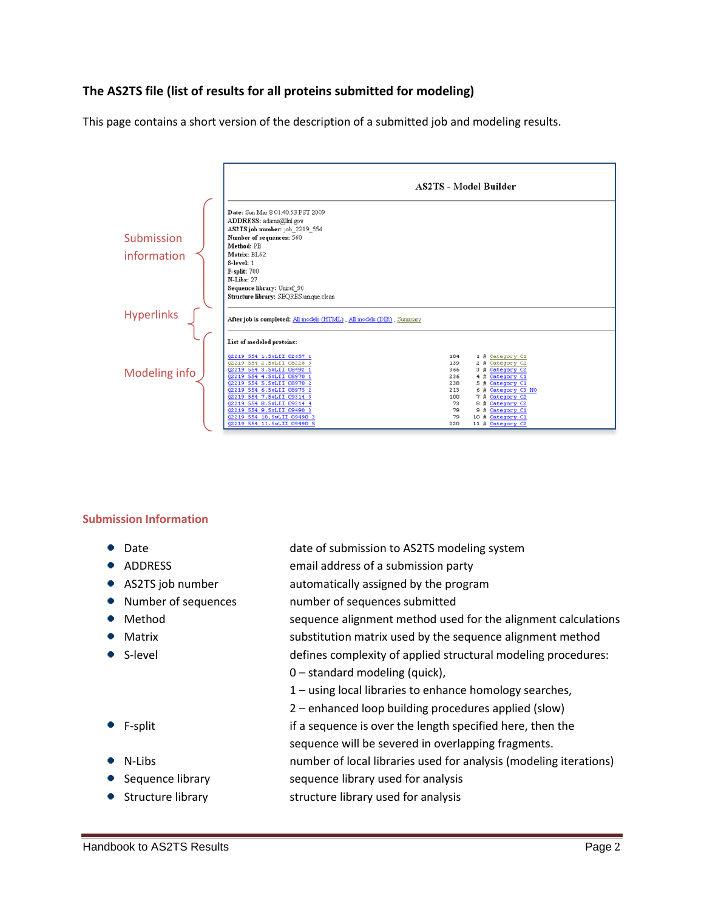## **The AS2TS file (list of results for all proteins submitted for modeling)**

This page contains a short version of the description of a submitted job and modeling results.



## **Submission Information**

- 
- 
- 
- 
- 
- ۰
- 
- 
- 
- 
- 
- Date bate of submission to AS2TS modeling system
- ADDRESS email address of a submission party
- AS2TS job number automatically assigned by the program
- Number of sequences number of sequences submitted
- Method sequence alignment method used for the alignment calculations Matrix matrix is substitution matrix used by the sequence alignment method S-level defines complexity of applied structural modeling procedures:
	- 0 standard modeling (quick),
	- 1 using local libraries to enhance homology searches,
	- 2 enhanced loop building procedures applied (slow)
	- F-split if a sequence is over the length specified here, then the
		- sequence will be severed in overlapping fragments.
	- N-Libs number of local libraries used for analysis (modeling iterations)
	- Sequence library sequence library used for analysis
	- Structure library structure library used for analysis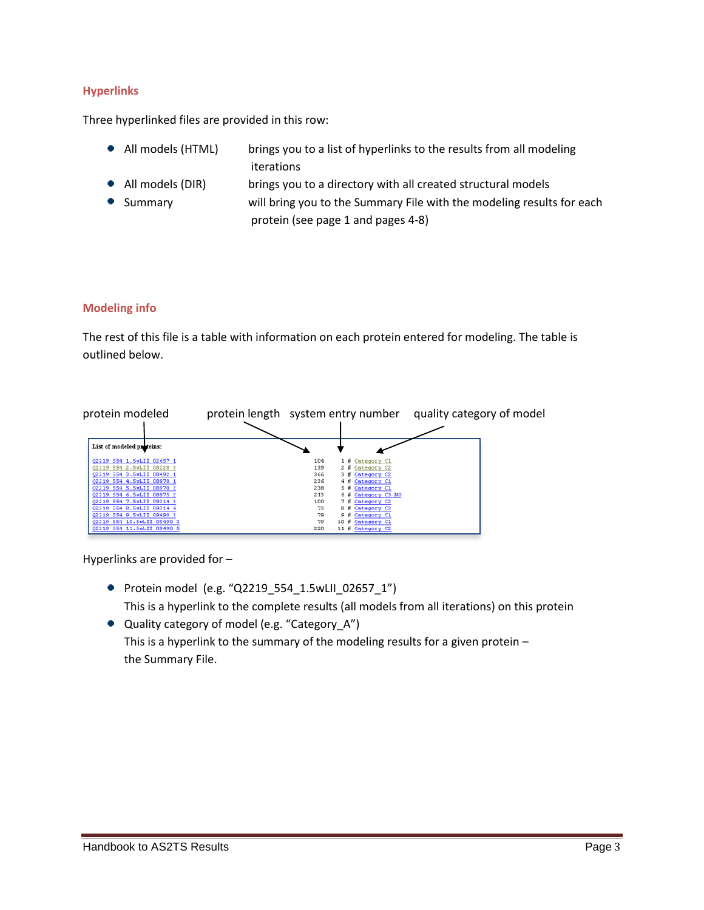## **Hyperlinks**

Three hyperlinked files are provided in this row:

- All models (HTML) brings you to a list of hyperlinks to the results from all modeling iterations
- All models (DIR) brings you to a directory with all created structural models
- Summary will bring you to the Summary File with the modeling results for each protein (see page 1 and pages 4-8)

#### **Modeling info**

The rest of this file is a table with information on each protein entered for modeling. The table is outlined below.

| protein modeled                                          | protein length system entry number | quality category of model               |  |  |
|----------------------------------------------------------|------------------------------------|-----------------------------------------|--|--|
|                                                          |                                    |                                         |  |  |
| List of modeled proteins:                                |                                    |                                         |  |  |
| 02219 554 1.5wLII 02657 1<br>02219 554 2.5wLII 08228 3   | 104<br>139                         | 1 # Category C1<br>2 # Category C2      |  |  |
| 02219 554 3.5wLII 08492 1                                | 366                                | 3 # Category C2                         |  |  |
| Q2219 554 4.5wLII 08970 1<br>Q2219 554 5.5wLII 08970 2   | 236<br>238                         | 4 # Category C1<br>5 # Category C1      |  |  |
| 02219 554 6.5wLII 08975 2<br>02219 554 7.5wLII 09314 3   | 213<br>100                         | 6 # Category C3 NO<br>7 # Category C2   |  |  |
| Q2219 554 8.5wLII 09314 4<br>02219 554 9.5wLII 09490 3   | 73<br>79                           | 8 # Category C2<br>9 # Category C1      |  |  |
| 02219 554 10.5wLII 09490 3<br>02219 554 11.5wLII 09490 5 | 79<br>220                          | 10 # Category C1<br>11 $\#$ Category C2 |  |  |

Hyperlinks are provided for –

- Protein model (e.g. "Q2219\_554\_1.5wLII\_02657\_1") This is a hyperlink to the complete results (all models from all iterations) on this protein
- Quality category of model (e.g. "Category\_A") This is a hyperlink to the summary of the modeling results for a given protein – the Summary File.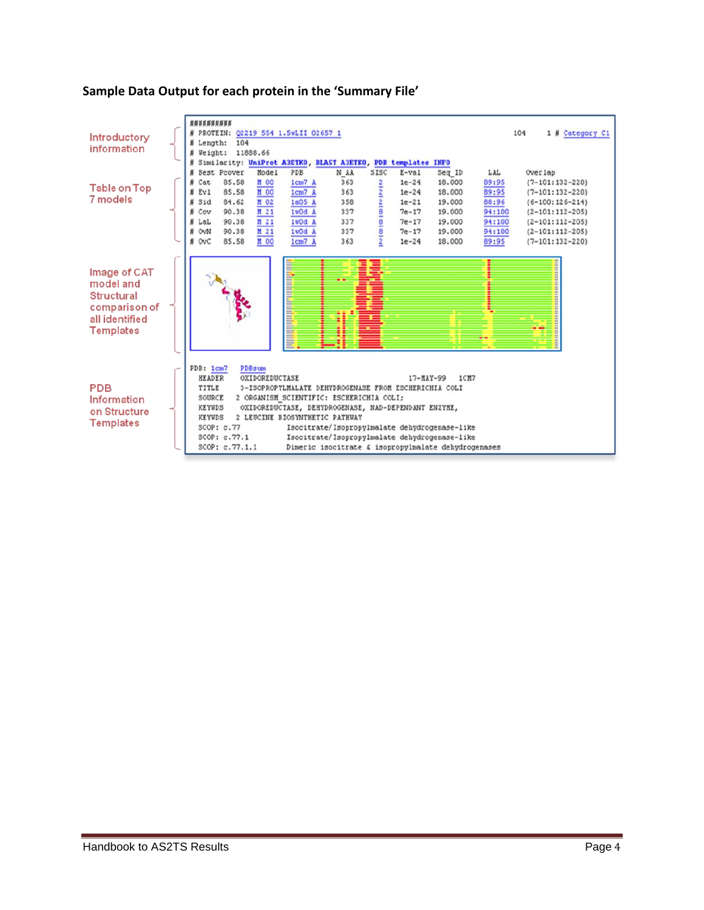

## **Sample Data Output for each protein in the 'Summary File'**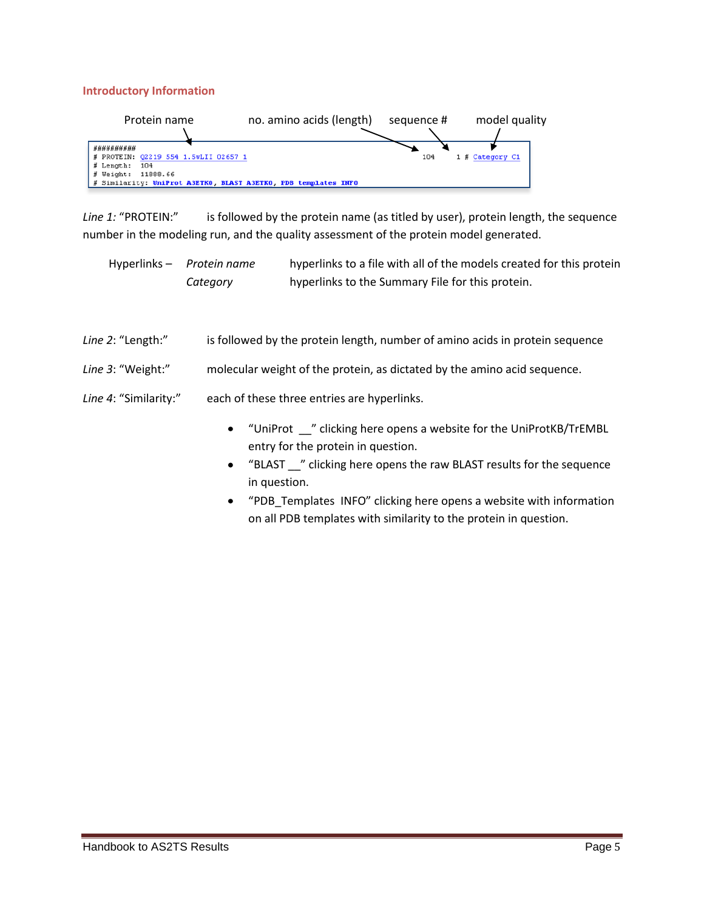#### **Introductory Information**

| Protein name                         | no. amino acids (length)                                       | sequence # | model quality   |
|--------------------------------------|----------------------------------------------------------------|------------|-----------------|
|                                      |                                                                |            |                 |
| ##########                           |                                                                |            |                 |
| # PROTEIN: Q2219 554 1.5wLII 02657 1 |                                                                | 104        | 1 # Category C1 |
| # Length: 104                        |                                                                |            |                 |
| # Weight: 11888.66                   |                                                                |            |                 |
|                                      | # Similarity: UniProt A3ETKO, BLAST A3ETKO, PDB templates INFO |            |                 |

Line 1: "PROTEIN:" is followed by the protein name (as titled by user), protein length, the sequence number in the modeling run, and the quality assessment of the protein model generated.

Hyperlinks – *Protein name* hyperlinks to a file with all of the models created for this protein *Category* hyperlinks to the Summary File for this protein.

| Line 2: "Length:"     | is followed by the protein length, number of amino acids in protein sequence |  |  |  |
|-----------------------|------------------------------------------------------------------------------|--|--|--|
| Line 3: "Weight:"     | molecular weight of the protein, as dictated by the amino acid sequence.     |  |  |  |
| Line 4: "Similarity:" | each of these three entries are hyperlinks.                                  |  |  |  |
|                       | clicking here opens a website for the UniProtKB/TrEMBL<br>"UniProt"          |  |  |  |

- ens a website for the UniProtKB/ entry for the protein in question.
- "BLAST \_\_" clicking here opens the raw BLAST results for the sequence in question.
- "PDB\_Templates INFO" clicking here opens a website with information  $\bullet$ on all PDB templates with similarity to the protein in question.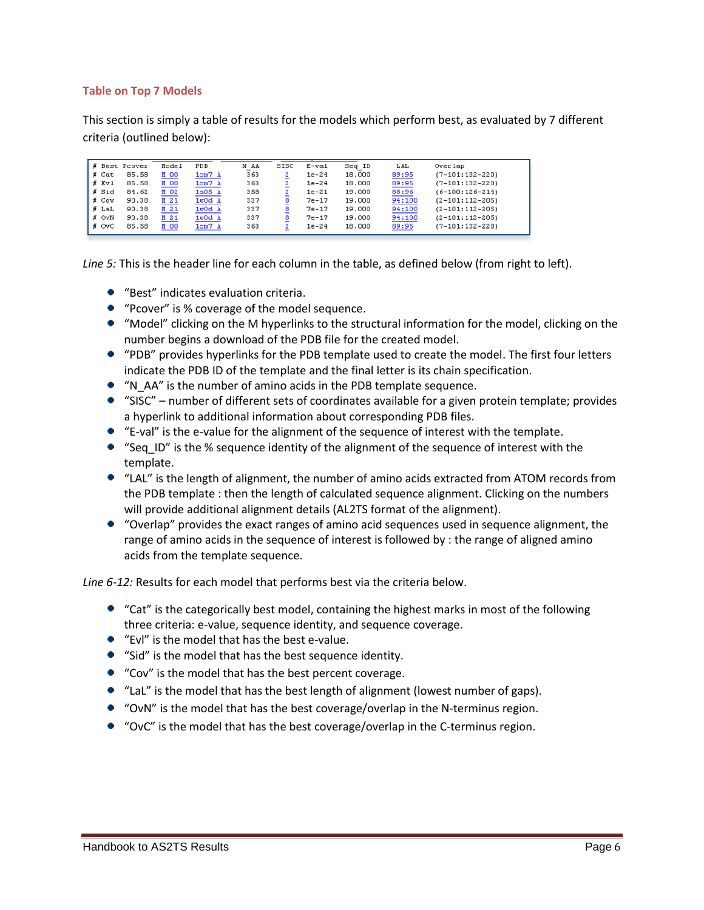## **Table on Top 7 Models**

This section is simply a table of results for the models which perform best, as evaluated by 7 different criteria (outlined below):

| ₩        | Best Pcover | Model | PDB    | N AA | SISC | E-val   | Seq ID | LAL    | Overlap               |
|----------|-------------|-------|--------|------|------|---------|--------|--------|-----------------------|
| $#$ Cat  | 85.58       | M 00  | 1cm7A  | 363  |      | $1e-24$ | 18.000 | 89:95  | $(7 - 101:132 - 220)$ |
| # Evl    | 85.58       | M 00  | 1cm7A  | 363  |      | $1e-24$ | 18,000 | 89:95  | $(7 - 101:132 - 220)$ |
| # Sid    | 84.62       | M 02  | 1a05 A | 358  |      | $1e-21$ | 19.000 | 88:96  | $(6 - 100:126 - 214)$ |
| # Cov    | 90.38       | M 21  | 1w0d A | 337  | 8    | $7e-17$ | 19,000 | 94:100 | $(2 - 101:112 - 205)$ |
| 茸<br>LaL | 90.38       | M 21  | 1w0d A | 337  |      | $7e-17$ | 19.000 | 94:100 | $(2 - 101:112 - 205)$ |
| # OvN    | 90.38       | M 21  | 1w0d A | 337  | 8    | $7e-17$ | 19,000 | 94:100 | $(2 - 101:112 - 205)$ |
| #<br>OvC | 85.58       | M 00  | 1cm7A  | 363  |      | $1e-24$ | 18.000 | 89:95  | $(7 - 101:132 - 220)$ |

*Line 5:* This is the header line for each column in the table, as defined below (from right to left).

- "Best" indicates evaluation criteria.
- "Pcover" is % coverage of the model sequence.
- "Model" clicking on the M hyperlinks to the structural information for the model, clicking on the number begins a download of the PDB file for the created model.
- "PDB" provides hyperlinks for the PDB template used to create the model. The first four letters indicate the PDB ID of the template and the final letter is its chain specification.
- "N\_AA" is the number of amino acids in the PDB template sequence.
- "SISC" number of different sets of coordinates available for a given protein template; provides a hyperlink to additional information about corresponding PDB files.
- "E-val" is the e-value for the alignment of the sequence of interest with the template.
- "Seq ID" is the % sequence identity of the alignment of the sequence of interest with the template.
- "LAL" is the length of alignment, the number of amino acids extracted from ATOM records from the PDB template : then the length of calculated sequence alignment. Clicking on the numbers will provide additional alignment details (AL2TS format of the alignment).
- "Overlap" provides the exact ranges of amino acid sequences used in sequence alignment, the range of amino acids in the sequence of interest is followed by : the range of aligned amino acids from the template sequence.

*Line 6-12:* Results for each model that performs best via the criteria below.

- "Cat" is the categorically best model, containing the highest marks in most of the following three criteria: e-value, sequence identity, and sequence coverage.
- "Evl" is the model that has the best e-value.
- "Sid" is the model that has the best sequence identity.
- "Cov" is the model that has the best percent coverage.
- "LaL" is the model that has the best length of alignment (lowest number of gaps).
- "OvN" is the model that has the best coverage/overlap in the N-terminus region.
- "OvC" is the model that has the best coverage/overlap in the C-terminus region.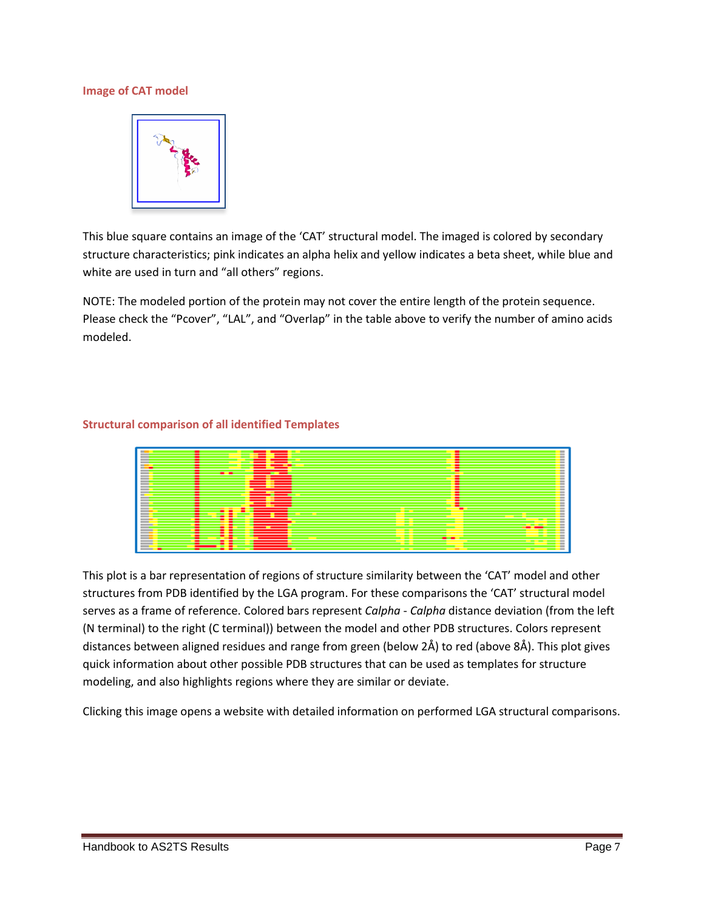## **Image of CAT model**



This blue square contains an image of the 'CAT' structural model. The imaged is colored by secondary structure characteristics; pink indicates an alpha helix and yellow indicates a beta sheet, while blue and white are used in turn and "all others" regions.

NOTE: The modeled portion of the protein may not cover the entire length of the protein sequence. Please check the "Pcover", "LAL", and "Overlap" in the table above to verify the number of amino acids modeled.

#### **Structural comparison of all identified Templates**



This plot is a bar representation of regions of structure similarity between the 'CAT' model and other structures from PDB identified by the LGA program. For these comparisons the 'CAT' structural model serves as a frame of reference. Colored bars represent *Calpha - Calpha* distance deviation (from the left (N terminal) to the right (C terminal)) between the model and other PDB structures. Colors represent distances between aligned residues and range from green (below 2Å) to red (above 8Å). This plot gives quick information about other possible PDB structures that can be used as templates for structure modeling, and also highlights regions where they are similar or deviate.

Clicking this image opens a website with detailed information on performed LGA structural comparisons.